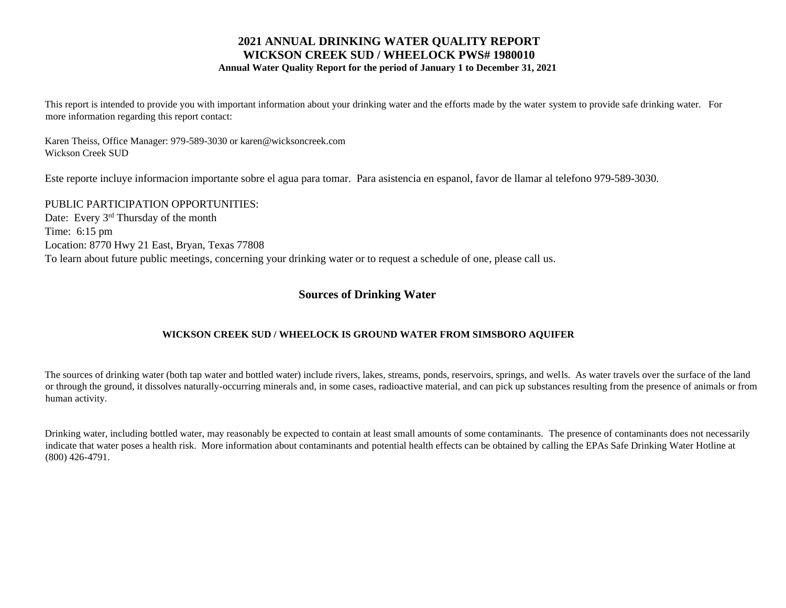### **2021 ANNUAL DRINKING WATER QUALITY REPORT WICKSON CREEK SUD / WHEELOCK PWS# 1980010 Annual Water Quality Report for the period of January 1 to December 31, 2021**

This report is intended to provide you with important information about your drinking water and the efforts made by the water system to provide safe drinking water. For more information regarding this report contact:

Karen Theiss, Office Manager: 979-589-3030 or karen@wicksoncreek.com Wickson Creek SUD

Este reporte incluye informacion importante sobre el agua para tomar. Para asistencia en espanol, favor de llamar al telefono 979-589-3030.

PUBLIC PARTICIPATION OPPORTUNITIES: Date: Every 3<sup>rd</sup> Thursday of the month Time: 6:15 pm Location: 8770 Hwy 21 East, Bryan, Texas 77808 To learn about future public meetings, concerning your drinking water or to request a schedule of one, please call us.

# **Sources of Drinking Water**

### **WICKSON CREEK SUD / WHEELOCK IS GROUND WATER FROM SIMSBORO AQUIFER**

The sources of drinking water (both tap water and bottled water) include rivers, lakes, streams, ponds, reservoirs, springs, and wells. As water travels over the surface of the land or through the ground, it dissolves naturally-occurring minerals and, in some cases, radioactive material, and can pick up substances resulting from the presence of animals or from human activity.

Drinking water, including bottled water, may reasonably be expected to contain at least small amounts of some contaminants. The presence of contaminants does not necessarily indicate that water poses a health risk. More information about contaminants and potential health effects can be obtained by calling the EPAs Safe Drinking Water Hotline at (800) 426-4791.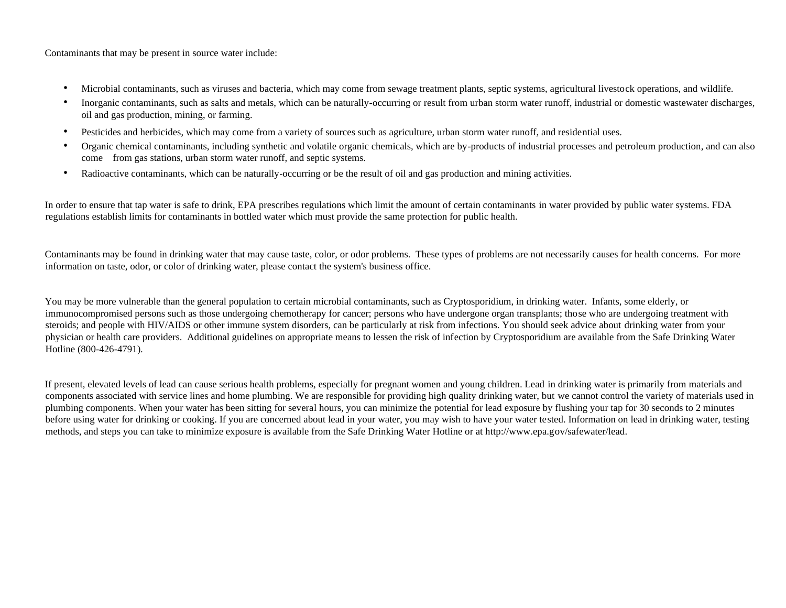Contaminants that may be present in source water include:

- Microbial contaminants, such as viruses and bacteria, which may come from sewage treatment plants, septic systems, agricultural livestock operations, and wildlife.
- Inorganic contaminants, such as salts and metals, which can be naturally-occurring or result from urban storm water runoff, industrial or domestic wastewater discharges, oil and gas production, mining, or farming.
- Pesticides and herbicides, which may come from a variety of sources such as agriculture, urban storm water runoff, and residential uses.
- Organic chemical contaminants, including synthetic and volatile organic chemicals, which are by-products of industrial processes and petroleum production, and can also come from gas stations, urban storm water runoff, and septic systems.
- Radioactive contaminants, which can be naturally-occurring or be the result of oil and gas production and mining activities.

In order to ensure that tap water is safe to drink, EPA prescribes regulations which limit the amount of certain contaminants in water provided by public water systems. FDA regulations establish limits for contaminants in bottled water which must provide the same protection for public health.

Contaminants may be found in drinking water that may cause taste, color, or odor problems. These types of problems are not necessarily causes for health concerns. For more information on taste, odor, or color of drinking water, please contact the system's business office.

You may be more vulnerable than the general population to certain microbial contaminants, such as Cryptosporidium, in drinking water. Infants, some elderly, or immunocompromised persons such as those undergoing chemotherapy for cancer; persons who have undergone organ transplants; those who are undergoing treatment with steroids; and people with HIV/AIDS or other immune system disorders, can be particularly at risk from infections. You should seek advice about drinking water from your physician or health care providers. Additional guidelines on appropriate means to lessen the risk of infection by Cryptosporidium are available from the Safe Drinking Water Hotline (800-426-4791).

If present, elevated levels of lead can cause serious health problems, especially for pregnant women and young children. Lead in drinking water is primarily from materials and components associated with service lines and home plumbing. We are responsible for providing high quality drinking water, but we cannot control the variety of materials used in plumbing components. When your water has been sitting for several hours, you can minimize the potential for lead exposure by flushing your tap for 30 seconds to 2 minutes before using water for drinking or cooking. If you are concerned about lead in your water, you may wish to have your water tested. Information on lead in drinking water, testing methods, and steps you can take to minimize exposure is available from the Safe Drinking Water Hotline or at http://www.epa.gov/safewater/lead.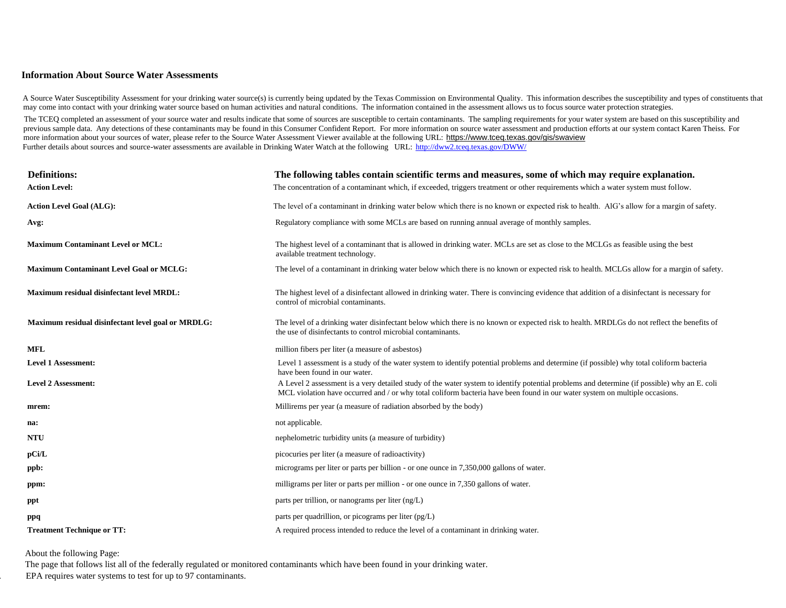#### **Information About Source Water Assessments**

A Source Water Susceptibility Assessment for your drinking water source(s) is currently being updated by the Texas Commission on Environmental Quality. This information describes the susceptibility and types of constituent may come into contact with your drinking water source based on human activities and natural conditions. The information contained in the assessment allows us to focus source water protection strategies.

The TCEQ completed an assessment of your source water and results indicate that some of sources are susceptible to certain contaminants. The sampling requirements for your water system are based on this susceptibility and previous sample data. Any detections of these contaminants may be found in this Consumer Confident Report. For more information on source water assessment and production efforts at our system contact Karen Theiss. For more information about your sources of water, please refer to the Source Water Assessment Viewer available at the following URL: https://www.tceq.texas.gov/gis/swaview Further details about sources and source-water assessments are available in Drinking Water Watch at the following UR[L:](http://dww2.tceq.texas.gov/DWW/) <http://dww2.tceq.texas.gov/DWW/>

| <b>Definitions:</b>                                | The following tables contain scientific terms and measures, some of which may require explanation.                                                                                                                                                                         |
|----------------------------------------------------|----------------------------------------------------------------------------------------------------------------------------------------------------------------------------------------------------------------------------------------------------------------------------|
| <b>Action Level:</b>                               | The concentration of a contaminant which, if exceeded, triggers treatment or other requirements which a water system must follow.                                                                                                                                          |
| <b>Action Level Goal (ALG):</b>                    | The level of a contaminant in drinking water below which there is no known or expected risk to health. AIG's allow for a margin of safety.                                                                                                                                 |
| Avg:                                               | Regulatory compliance with some MCLs are based on running annual average of monthly samples.                                                                                                                                                                               |
| <b>Maximum Contaminant Level or MCL:</b>           | The highest level of a contaminant that is allowed in drinking water. MCLs are set as close to the MCLGs as feasible using the best<br>available treatment technology.                                                                                                     |
| <b>Maximum Contaminant Level Goal or MCLG:</b>     | The level of a contaminant in drinking water below which there is no known or expected risk to health. MCLGs allow for a margin of safety.                                                                                                                                 |
| Maximum residual disinfectant level MRDL:          | The highest level of a disinfectant allowed in drinking water. There is convincing evidence that addition of a disinfectant is necessary for<br>control of microbial contaminants.                                                                                         |
| Maximum residual disinfectant level goal or MRDLG: | The level of a drinking water disinfectant below which there is no known or expected risk to health. MRDLGs do not reflect the benefits of<br>the use of disinfectants to control microbial contaminants.                                                                  |
| <b>MFL</b>                                         | million fibers per liter (a measure of asbestos)                                                                                                                                                                                                                           |
| <b>Level 1 Assessment:</b>                         | Level 1 assessment is a study of the water system to identify potential problems and determine (if possible) why total coliform bacteria<br>have been found in our water.                                                                                                  |
| <b>Level 2 Assessment:</b>                         | A Level 2 assessment is a very detailed study of the water system to identify potential problems and determine (if possible) why an E. coli<br>MCL violation have occurred and / or why total coliform bacteria have been found in our water system on multiple occasions. |
| mrem:                                              | Millirems per year (a measure of radiation absorbed by the body)                                                                                                                                                                                                           |
| na:                                                | not applicable.                                                                                                                                                                                                                                                            |
| <b>NTU</b>                                         | nephelometric turbidity units (a measure of turbidity)                                                                                                                                                                                                                     |
| pCi/L                                              | picocuries per liter (a measure of radioactivity)                                                                                                                                                                                                                          |
| ppb:                                               | micrograms per liter or parts per billion - or one ounce in 7,350,000 gallons of water.                                                                                                                                                                                    |
| ppm:                                               | milligrams per liter or parts per million - or one ounce in 7,350 gallons of water.                                                                                                                                                                                        |
| ppt                                                | parts per trillion, or nanograms per liter (ng/L)                                                                                                                                                                                                                          |
| ppq                                                | parts per quadrillion, or picograms per liter (pg/L)                                                                                                                                                                                                                       |
| <b>Treatment Technique or TT:</b>                  | A required process intended to reduce the level of a contaminant in drinking water.                                                                                                                                                                                        |
|                                                    |                                                                                                                                                                                                                                                                            |

About the following Page:

 The page that follows list all of the federally regulated or monitored contaminants which have been found in your drinking water. EPA requires water systems to test for up to 97 contaminants.